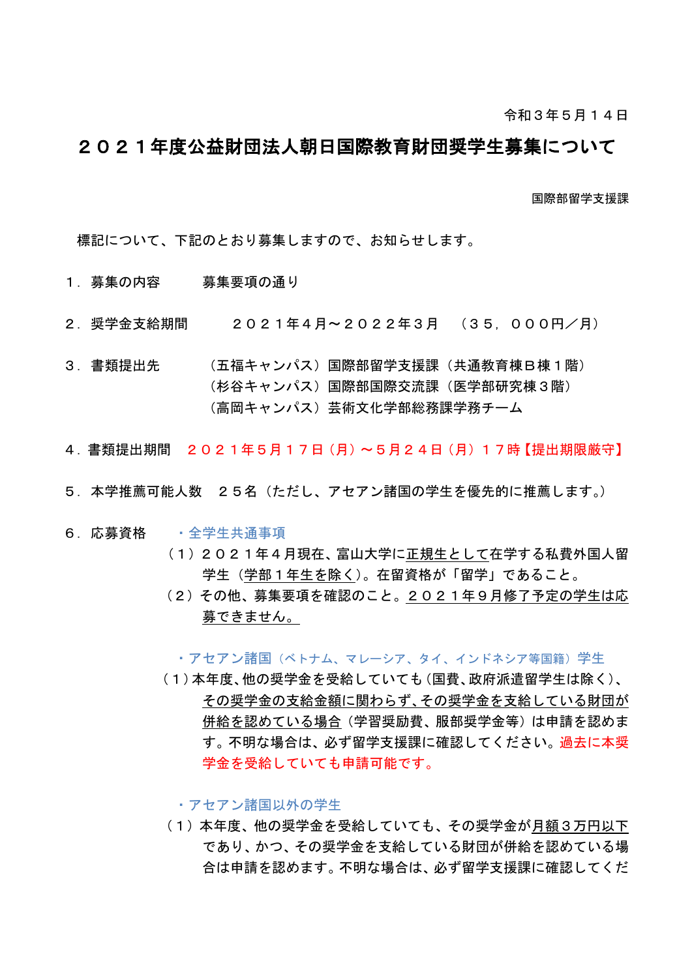## 2021年度公益財団法人朝日国際教育財団奨学生募集について

国際部留学支援課

標記について、下記のとおり募集しますので、お知らせします。

- 1.募集の内容 募集要項の通り
- 2.奨学金支給期間 2021年4月~2022年3月 (35,000円/月)
- 3.書類提出先 (五福キャンパス)国際部留学支援課(共通教育棟B棟1階) (杉谷キャンパス)国際部国際交流課(医学部研究棟3階) (高岡キャンパス)芸術文化学部総務課学務チーム
- 4.書類提出期間 2021年5月17日(月)~5月24日(月)17時【提出期限厳守】
- 5.本学推薦可能人数 25名(ただし、アセアン諸国の学生を優先的に推薦します。)
- 6.応募資格 ・全学生共通事項
	- (1) 2021年4月現在、富山大学に正規生として在学する私費外国人留 学生(学部1年生を除く)。在留資格が「留学」であること。
	- (2)その他、募集要項を確認のこと。2021年9月修了予定の学生は応 募できません。

•アセアン諸国(ベトナム、マレーシア、タイ、インドネシア等国籍)学生

 (1)本年度、他の奨学金を受給していても(国費、政府派遣留学生は除く)、 その奨学金の支給金額に関わらず、その奨学金を支給している財団が 併給を認めている場合(学習奨励費、服部奨学金等)は申請を認めま す。不明な場合は、必ず留学支援課に確認してください。過去に本奨 学金を受給していても申請可能です。

・アセアン諸国以外の学生

 (1)本年度、他の奨学金を受給していても、その奨学金が月額3万円以下 であり、かつ、その奨学金を支給している財団が併給を認めている場 合は申請を認めます。不明な場合は、必ず留学支援課に確認してくだ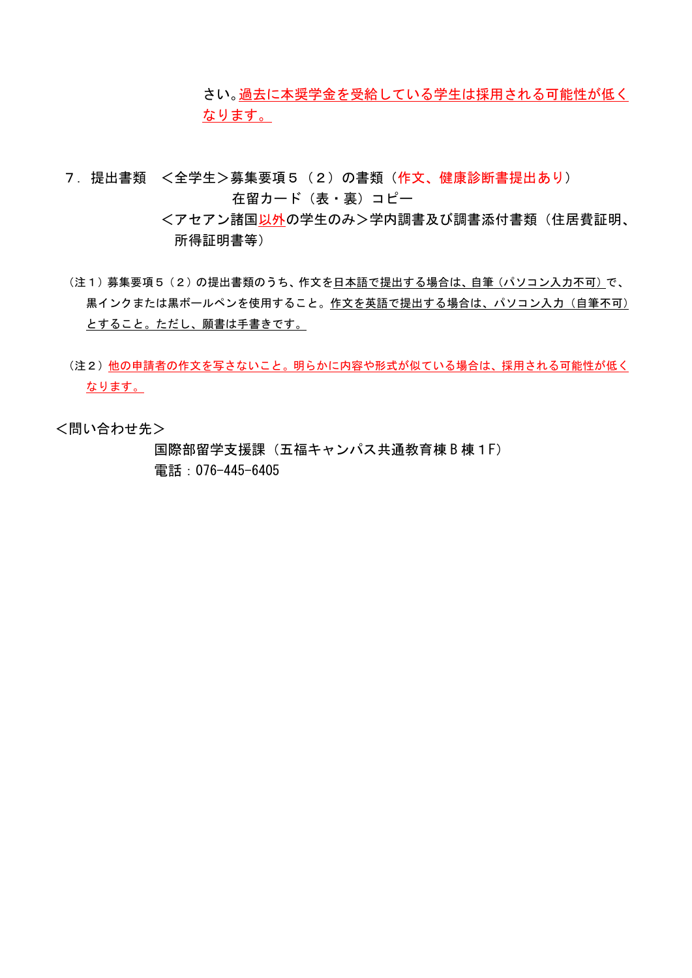さい。過去に本奨学金を受給している学生は採用される可能性が低く なります。

- 7.提出書類 <全学生>募集要項5(2)の書類(作文、健康診断書提出あり) 在留カード(表・裏)コピー
	- くアセアン諸国以外の学生のみ>学内調書及び調書添付書類(住居費証明、 所得証明書等)
- (注1)募集要項5(2)の提出書類のうち、作文を日本語で提出する場合は、自筆(パソコン入力不可)で、 黒インクまたは黒ボールペンを使用すること。作文を英語で提出する場合は、パソコン入力(自筆不可) とすること。ただし、願書は手書きです。
- (注2)他の申請者の作文を写さないこと。明らかに内容や形式が似ている場合は、採用される可能性が低く なります。

<問い合わせ先>

国際部留学支援課(五福キャンパス共通教育棟 B 棟1F) 電話:076-445-6405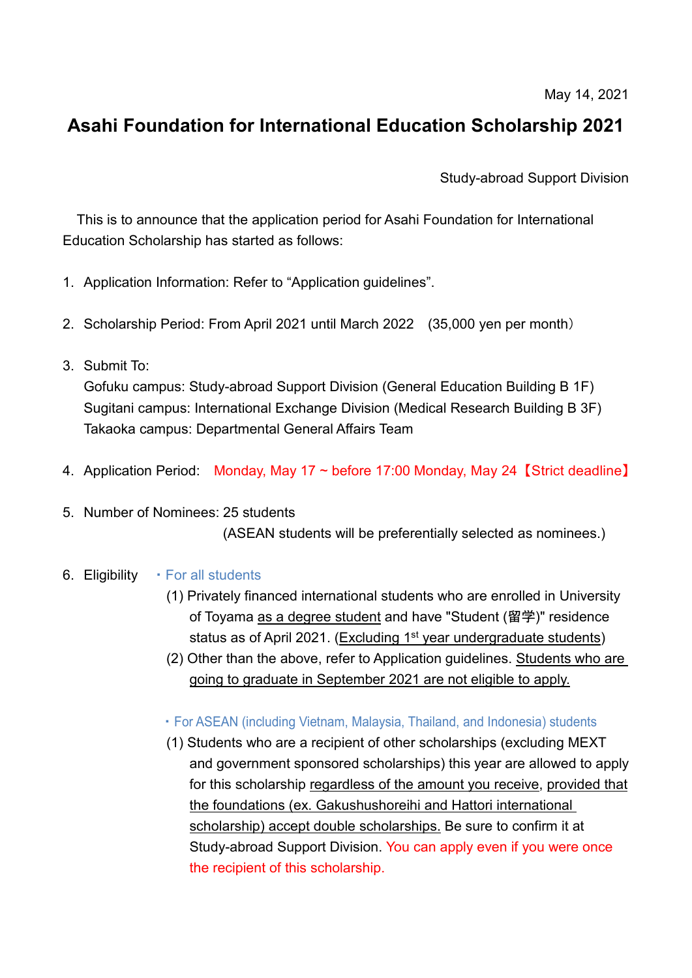May 14, 2021

## **Asahi Foundation for International Education Scholarship 2021**

Study-abroad Support Division

This is to announce that the application period for Asahi Foundation for International Education Scholarship has started as follows:

- 1. Application Information: Refer to "Application guidelines".
- 2. Scholarship Period: From April 2021 until March 2022 (35,000 yen per month)
- 3. Submit To:

Gofuku campus: Study-abroad Support Division (General Education Building B 1F) Sugitani campus: International Exchange Division (Medical Research Building B 3F) Takaoka campus: Departmental General Affairs Team

- 4. Application Period: Monday, May 17 ~ before 17:00 Monday, May 24 【Strict deadline】
- 5. Number of Nominees: 25 students (ASEAN students will be preferentially selected as nominees.)
- 6. Eligibility For all students
	- (1) Privately financed international students who are enrolled in University of Toyama as a degree student and have "Student (留学)" residence status as of April 2021. (Excluding 1<sup>st</sup> year undergraduate students)
	- (2) Other than the above, refer to Application guidelines. Students who are going to graduate in September 2021 are not eligible to apply.
	- ・For ASEAN (including Vietnam, Malaysia, Thailand, and Indonesia) students
	- (1) Students who are a recipient of other scholarships (excluding MEXT and government sponsored scholarships) this year are allowed to apply for this scholarship regardless of the amount you receive, provided that the foundations (ex. Gakushushoreihi and Hattori international scholarship) accept double scholarships. Be sure to confirm it at Study-abroad Support Division. You can apply even if you were once the recipient of this scholarship.